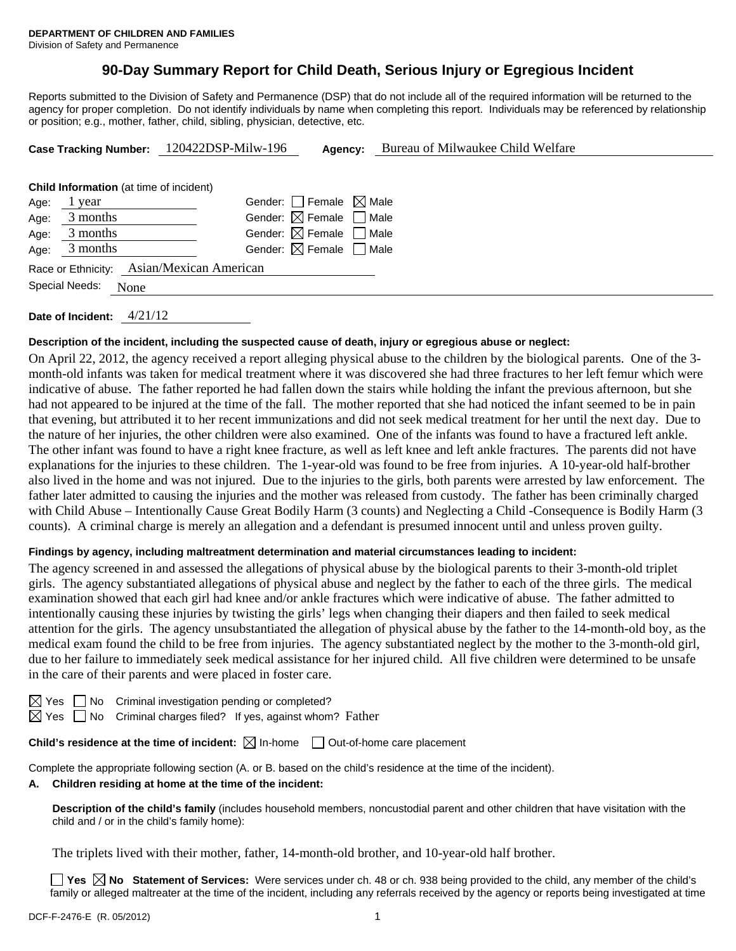# **90-Day Summary Report for Child Death, Serious Injury or Egregious Incident**

Reports submitted to the Division of Safety and Permanence (DSP) that do not include all of the required information will be returned to the agency for proper completion. Do not identify individuals by name when completing this report. Individuals may be referenced by relationship or position; e.g., mother, father, child, sibling, physician, detective, etc.

| Case Tracking Number: 120422DSP-Milw-196 |                                                |                                           | Agency: | Bureau of Milwaukee Child Welfare |  |  |  |
|------------------------------------------|------------------------------------------------|-------------------------------------------|---------|-----------------------------------|--|--|--|
|                                          |                                                |                                           |         |                                   |  |  |  |
|                                          | <b>Child Information</b> (at time of incident) |                                           |         |                                   |  |  |  |
| Age:                                     | 1 year                                         | Gender: Female $\boxtimes$ Male           |         |                                   |  |  |  |
| Age:                                     | 3 months                                       | Gender: $\boxtimes$ Female $\Box$ Male    |         |                                   |  |  |  |
| Age:                                     | 3 months                                       | Gender: $\boxtimes$ Female $\Box$ Male    |         |                                   |  |  |  |
| Age:                                     | 3 months                                       | Gender: $\boxtimes$ Female $\Box$ Male    |         |                                   |  |  |  |
|                                          |                                                | Race or Ethnicity: Asian/Mexican American |         |                                   |  |  |  |
|                                          | Special Needs:<br>None                         |                                           |         |                                   |  |  |  |
|                                          |                                                |                                           |         |                                   |  |  |  |

**Date of Incident:** 4/21/12

### **Description of the incident, including the suspected cause of death, injury or egregious abuse or neglect:**

On April 22, 2012, the agency received a report alleging physical abuse to the children by the biological parents. One of the 3 month-old infants was taken for medical treatment where it was discovered she had three fractures to her left femur which were indicative of abuse. The father reported he had fallen down the stairs while holding the infant the previous afternoon, but she had not appeared to be injured at the time of the fall. The mother reported that she had noticed the infant seemed to be in pain that evening, but attributed it to her recent immunizations and did not seek medical treatment for her until the next day. Due to the nature of her injuries, the other children were also examined. One of the infants was found to have a fractured left ankle. The other infant was found to have a right knee fracture, as well as left knee and left ankle fractures. The parents did not have explanations for the injuries to these children. The 1-year-old was found to be free from injuries. A 10-year-old half-brother also lived in the home and was not injured. Due to the injuries to the girls, both parents were arrested by law enforcement. The father later admitted to causing the injuries and the mother was released from custody. The father has been criminally charged with Child Abuse – Intentionally Cause Great Bodily Harm (3 counts) and Neglecting a Child -Consequence is Bodily Harm (3 counts). A criminal charge is merely an allegation and a defendant is presumed innocent until and unless proven guilty.

## **Findings by agency, including maltreatment determination and material circumstances leading to incident:**

The agency screened in and assessed the allegations of physical abuse by the biological parents to their 3-month-old triplet girls. The agency substantiated allegations of physical abuse and neglect by the father to each of the three girls. The medical examination showed that each girl had knee and/or ankle fractures which were indicative of abuse. The father admitted to intentionally causing these injuries by twisting the girls' legs when changing their diapers and then failed to seek medical attention for the girls. The agency unsubstantiated the allegation of physical abuse by the father to the 14-month-old boy, as the medical exam found the child to be free from injuries. The agency substantiated neglect by the mother to the 3-month-old girl, due to her failure to immediately seek medical assistance for her injured child. All five children were determined to be unsafe in the care of their parents and were placed in foster care.

 $\Box$  No Criminal investigation pending or completed?

 $\boxtimes$  Yes  $\Box$  No Criminal charges filed? If yes, against whom? Father

**Child's residence at the time of incident:**  $\boxtimes$  In-home  $\Box$  Out-of-home care placement

Complete the appropriate following section (A. or B. based on the child's residence at the time of the incident).

#### **A. Children residing at home at the time of the incident:**

**Description of the child's family** (includes household members, noncustodial parent and other children that have visitation with the child and / or in the child's family home):

The triplets lived with their mother, father, 14-month-old brother, and 10-year-old half brother.

**Yes**  $\boxtimes$  **No** Statement of Services: Were services under ch. 48 or ch. 938 being provided to the child, any member of the child's family or alleged maltreater at the time of the incident, including any referrals received by the agency or reports being investigated at time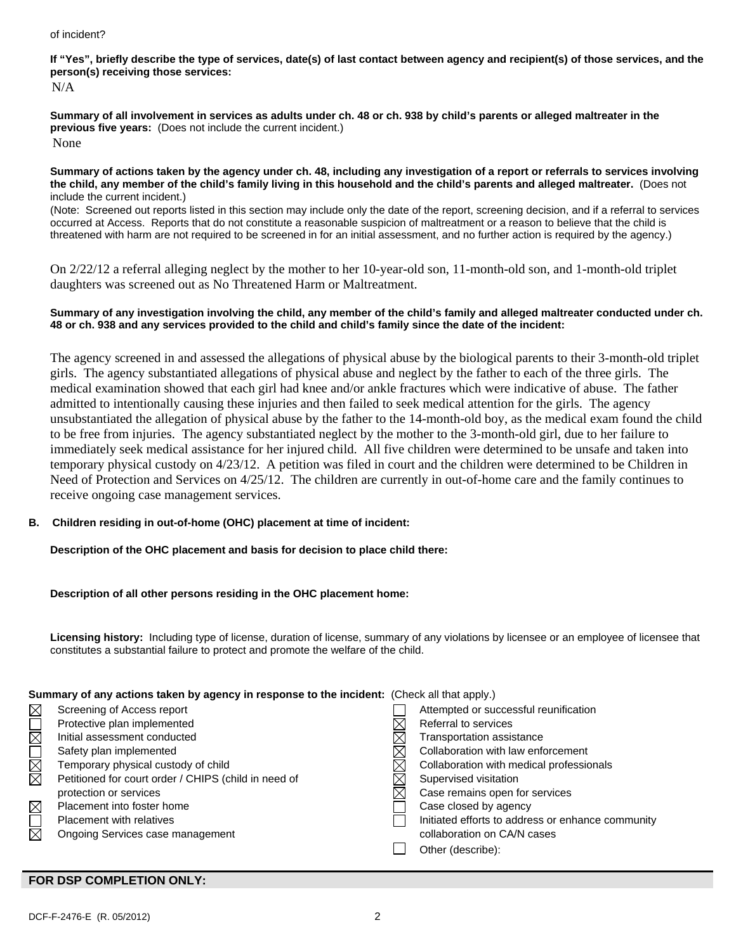#### of incident?

# **If "Yes", briefly describe the type of services, date(s) of last contact between agency and recipient(s) of those services, and the person(s) receiving those services:**

N/A

**Summary of all involvement in services as adults under ch. 48 or ch. 938 by child's parents or alleged maltreater in the previous five years:** (Does not include the current incident.) None

**Summary of actions taken by the agency under ch. 48, including any investigation of a report or referrals to services involving the child, any member of the child's family living in this household and the child's parents and alleged maltreater.** (Does not include the current incident.)

(Note: Screened out reports listed in this section may include only the date of the report, screening decision, and if a referral to services occurred at Access. Reports that do not constitute a reasonable suspicion of maltreatment or a reason to believe that the child is threatened with harm are not required to be screened in for an initial assessment, and no further action is required by the agency.)

On 2/22/12 a referral alleging neglect by the mother to her 10-year-old son, 11-month-old son, and 1-month-old triplet daughters was screened out as No Threatened Harm or Maltreatment.

### **Summary of any investigation involving the child, any member of the child's family and alleged maltreater conducted under ch. 48 or ch. 938 and any services provided to the child and child's family since the date of the incident:**

The agency screened in and assessed the allegations of physical abuse by the biological parents to their 3-month-old triplet girls. The agency substantiated allegations of physical abuse and neglect by the father to each of the three girls. The medical examination showed that each girl had knee and/or ankle fractures which were indicative of abuse. The father admitted to intentionally causing these injuries and then failed to seek medical attention for the girls. The agency unsubstantiated the allegation of physical abuse by the father to the 14-month-old boy, as the medical exam found the child to be free from injuries. The agency substantiated neglect by the mother to the 3-month-old girl, due to her failure to immediately seek medical assistance for her injured child. All five children were determined to be unsafe and taken into temporary physical custody on 4/23/12. A petition was filed in court and the children were determined to be Children in Need of Protection and Services on 4/25/12. The children are currently in out-of-home care and the family continues to receive ongoing case management services.

# **B. Children residing in out-of-home (OHC) placement at time of incident:**

**Description of the OHC placement and basis for decision to place child there:** 

## **Description of all other persons residing in the OHC placement home:**

**Licensing history:** Including type of license, duration of license, summary of any violations by licensee or an employee of licensee that constitutes a substantial failure to protect and promote the welfare of the child.

| Summary of any actions taken by agency in response to the incident: (Check all that apply.) |                                                      |  |                                                   |  |  |
|---------------------------------------------------------------------------------------------|------------------------------------------------------|--|---------------------------------------------------|--|--|
| $\boxtimes$                                                                                 | Screening of Access report                           |  | Attempted or successful reunification             |  |  |
| $\overline{\Xi}$                                                                            | Protective plan implemented                          |  | Referral to services                              |  |  |
|                                                                                             | Initial assessment conducted                         |  | Transportation assistance                         |  |  |
|                                                                                             | Safety plan implemented                              |  | Collaboration with law enforcement                |  |  |
| N<br>M                                                                                      | Temporary physical custody of child                  |  | Collaboration with medical professionals          |  |  |
|                                                                                             | Petitioned for court order / CHIPS (child in need of |  | Supervised visitation                             |  |  |
|                                                                                             | protection or services                               |  | Case remains open for services                    |  |  |
|                                                                                             | Placement into foster home                           |  | Case closed by agency                             |  |  |
|                                                                                             | Placement with relatives                             |  | Initiated efforts to address or enhance community |  |  |
| $\boxtimes$                                                                                 | Ongoing Services case management                     |  | collaboration on CA/N cases                       |  |  |
|                                                                                             |                                                      |  | Other (describe):                                 |  |  |

## **FOR DSP COMPLETION ONLY:**